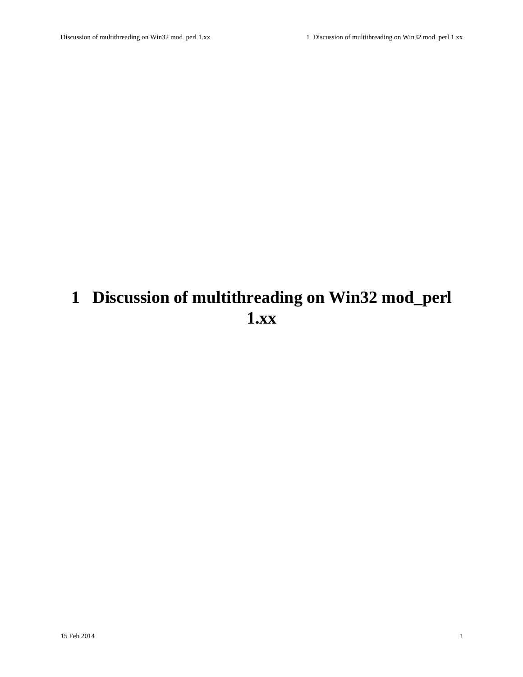# <span id="page-0-0"></span>**1 Discussion of multithreading on Win32 mod\_perl 1.xx**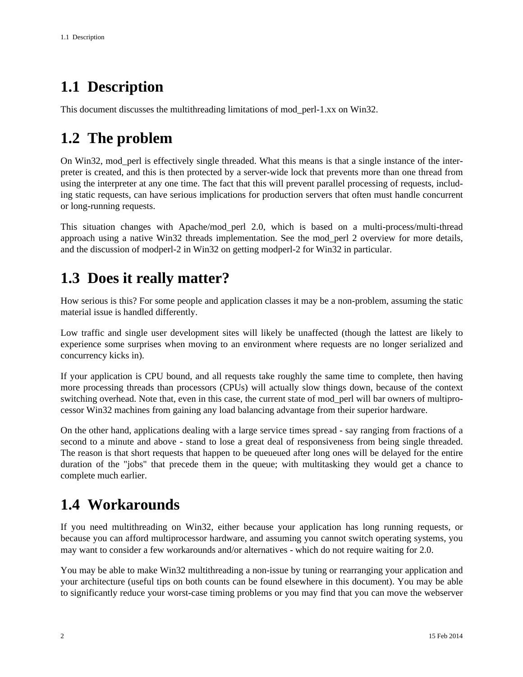## <span id="page-1-0"></span>**1.1 Description**

This document discusses the multithreading limitations of mod\_perl-1.xx on Win32.

## <span id="page-1-1"></span>**1.2 The problem**

On Win32, mod\_perl is effectively single threaded. What this means is that a single instance of the interpreter is created, and this is then protected by a server-wide lock that prevents more than one thread from using the interpreter at any one time. The fact that this will prevent parallel processing of requests, including static requests, can have serious implications for production servers that often must handle concurrent or long-running requests.

This situation changes with Apache/mod\_perl 2.0, which is based on a multi-process/multi-thread approach using a native Win32 threads implementation. See the mod\_perl 2 overview for more details, and the discussion of modperl-2 in Win32 on getting modperl-2 for Win32 in particular.

### <span id="page-1-2"></span>**1.3 Does it really matter?**

How serious is this? For some people and application classes it may be a non-problem, assuming the static material issue is handled differently.

Low traffic and single user development sites will likely be unaffected (though the lattest are likely to experience some surprises when moving to an environment where requests are no longer serialized and concurrency kicks in).

If your application is CPU bound, and all requests take roughly the same time to complete, then having more processing threads than processors (CPUs) will actually slow things down, because of the context switching overhead. Note that, even in this case, the current state of mod\_perl will bar owners of multiprocessor Win32 machines from gaining any load balancing advantage from their superior hardware.

On the other hand, applications dealing with a large service times spread - say ranging from fractions of a second to a minute and above - stand to lose a great deal of responsiveness from being single threaded. The reason is that short requests that happen to be queueued after long ones will be delayed for the entire duration of the "jobs" that precede them in the queue; with multitasking they would get a chance to complete much earlier.

## <span id="page-1-3"></span>**1.4 Workarounds**

If you need multithreading on Win32, either because your application has long running requests, or because you can afford multiprocessor hardware, and assuming you cannot switch operating systems, you may want to consider a few workarounds and/or alternatives - which do not require waiting for 2.0.

You may be able to make Win32 multithreading a non-issue by tuning or rearranging your application and your architecture (useful tips on both counts can be found elsewhere in this document). You may be able to significantly reduce your worst-case timing problems or you may find that you can move the webserver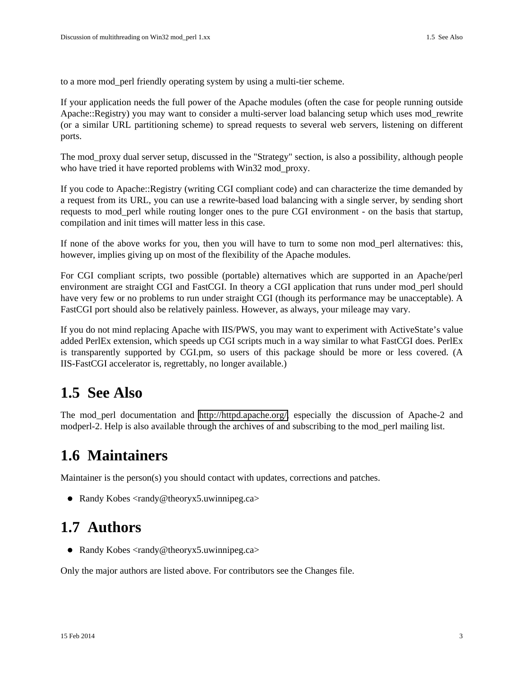to a more mod\_perl friendly operating system by using a multi-tier scheme.

If your application needs the full power of the Apache modules (often the case for people running outside Apache::Registry) you may want to consider a multi-server load balancing setup which uses mod\_rewrite (or a similar URL partitioning scheme) to spread requests to several web servers, listening on different ports.

The mod\_proxy dual server setup, discussed in the "Strategy" section, is also a possibility, although people who have tried it have reported problems with Win32 mod\_proxy.

If you code to Apache::Registry (writing CGI compliant code) and can characterize the time demanded by a request from its URL, you can use a rewrite-based load balancing with a single server, by sending short requests to mod\_perl while routing longer ones to the pure CGI environment - on the basis that startup, compilation and init times will matter less in this case.

If none of the above works for you, then you will have to turn to some non mod\_perl alternatives: this, however, implies giving up on most of the flexibility of the Apache modules.

For CGI compliant scripts, two possible (portable) alternatives which are supported in an Apache/perl environment are straight CGI and FastCGI. In theory a CGI application that runs under mod\_perl should have very few or no problems to run under straight CGI (though its performance may be unacceptable). A FastCGI port should also be relatively painless. However, as always, your mileage may vary.

If you do not mind replacing Apache with IIS/PWS, you may want to experiment with ActiveState's value added PerlEx extension, which speeds up CGI scripts much in a way similar to what FastCGI does. PerlEx is transparently supported by CGI.pm, so users of this package should be more or less covered. (A IIS-FastCGI accelerator is, regrettably, no longer available.)

### <span id="page-2-0"></span>**1.5 See Also**

The mod\_perl documentation and [http://httpd.apache.org/,](http://httpd.apache.org/) especially the discussion of Apache-2 and modperl-2. Help is also available through the archives of and subscribing to the mod\_perl mailing list.

#### <span id="page-2-1"></span>**1.6 Maintainers**

Maintainer is the person(s) you should contact with updates, corrections and patches.

• Randy Kobes  $\langle \text{randy}\rightangle$ @theoryx5.uwinnipeg.ca>

#### <span id="page-2-2"></span>**1.7 Authors**

● Randy Kobes <randy@theoryx5.uwinnipeg.ca>

Only the major authors are listed above. For contributors see the Changes file.